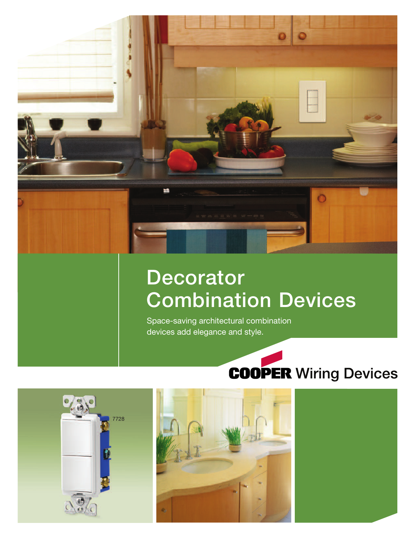

# **Decorator Combination Devices**

Space-saving architectural combination devices add elegance and style.